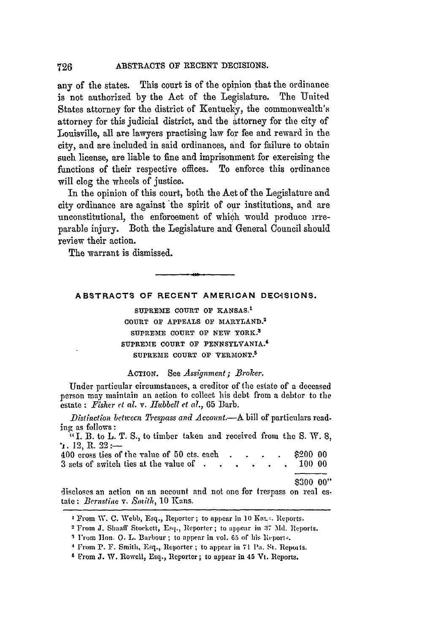any of the states. This court is of the opinion that the ordinance is not authorized by the Act of the Legislature. The United States attorney for the district of Kentucky, the commonwealth's attorney for this judicial district, and the attorney for the city of Louisville, all are lawyers practising law for fee and reward in the city, and are included in said ordinances, and for failure to obtain such license, are liable to fine and imprisonment for exercising the functions of their respective offices. To enforce this ordinance will clog the wheels of justice.

In the opinion of this court, both the Act of the Legislature and city ordinance are against 'the spirit of our institutions, and are unconstitutional, the enforoement of which would produce irreparable injury. Both the Legislature and General Council should review their action.

The warrant is dismissed.

# **ABSTRACTS OF RECENT AMERICAN DECqSIONS.**

 $\leftrightarrow$ 

SUPREME COURT OF KANSAS.<sup>1</sup> **COURT OF APPEALS OF** MARYLAND. <sup>2</sup> SUPREME **COURT OF NEW** YORK.3 **SUPREME COURT** OF **PENNSYLVANIA. <sup>4</sup>** SUPREME COURT OF VERMONT.<sup>5</sup>

# ACTION. See *Assignment; Broker.*

Under particular circumstances, a creditor of the estate of a deceased person may maintain an action to collect his debt from a debtor to the estate : Fisher et al. v. Hubbell et al., 65 Barb.

*Distinction between Trespass and Aceout.-A* bill of particulars read. ing as follows:

"I. B. to L. T. S., to timber taken and received from the S. W. 8, **\* 12, R.** 22 **:**--

|  | 400 cross ties of the value of 50 cts. each $\therefore$ $\therefore$ $\therefore$ \$200 00<br>3 sets of switch ties at the value of $\cdot \cdot \cdot \cdot \cdot \cdot 10000$ |  |  |  |  |  |  |            |  |
|--|----------------------------------------------------------------------------------------------------------------------------------------------------------------------------------|--|--|--|--|--|--|------------|--|
|  |                                                                                                                                                                                  |  |  |  |  |  |  | 0.00000000 |  |

\$300 00",

discloses an action on an account and not one for trespass on real **es.** tate: *Bernstine* v. *Smith*, 10 Kans.

**I** From W. C. Webb, Esq., Reporter; to appear in **10** Ka. . Reports.

<sup>2</sup> From **J.** Shaaff Stockett, Esq., Reporter ; to appear in **:37** Md. Reports.

<sup>&</sup>lt;sup>2</sup> I'rom Hon. O. L. Barbour; to appear in vol. 65 of his Reports.

<sup>&</sup>lt;sup>4</sup> From P. F. Smith, Esq., Reporter; to appear in 71 Pa. St. Reports.

**<sup>6</sup>** From **J.** W. Rowell, Esq., Reporter; to appear in 45 Vt. Reports.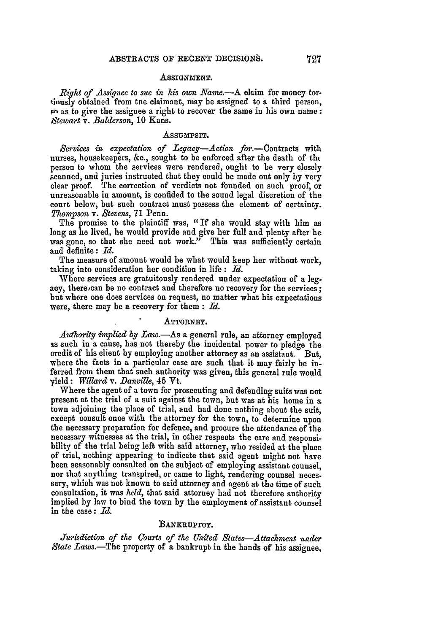### ASSIGNMENT.

*Right of Assignee to sue in* his *own Name.-A* claim for money tor. tinusly obtained from tne claimant, may be assigned to a third person, Fn as to give the assignee a right to recover the same in his own name: *Stewart v. Balderson,* 10 Kans.

#### **AsSUMPSIT.**

Services in expectation of Legacy-Action for.-Contracts with nurses, housekeepers, &c., sought to be enforced after the death of tht person to whom the services were rendered, ought to be very closely scanned, and juries instructed that they could be made out only by very clear proof. The correction of verdicts not founded on such proof, or unreasonable in amount, is confided to the sound legal discretion of the court below, but such contract must possess the element of certainty. *Thompson v. Stevens,* **71** Penn.

The promise to the plaintiff was, "If she would stay with him as long as he lived, he would provide and give her full and plenty after he was gone, so that she need not work." This was sufficiently certain and definite: *Id.*

The measure of amount would be what would keep her without work, taking into consideration her condition in life **:** *Id.*

Where services are gratuitously rendered under expectation of a legacy, there, can be no contract and therefore no recovery for the services; but where one does services on request, no matter what his expectations were, there may be a recovery for them **:** *Id.*

## ATTORNEY.

*Authority implied by Law.-As* a general rule, an attorney employed as such in a cause, has not thereby the incidental power to pledge the credit of his client by employing another attorney as an assistant. But, where the facts in a particular case are such that it may fairly be inferred from them that such authority was given, this general rule would yield: *Willard v. Danville,* 45 Vt.

Where the agent of a town for prosecuting and defending suits was not present at the trial of a suit against the town, but was at his home in a town adjoining the place of trial, and had done nothing about the suit, except consult once with the attorney for the town, to determine upon the necessary preparation for defence, and procure the attendance of the necessary witnesses at the trial. in other respects the care and responsibility of the trial being left with said attorney, who resided at the place of trial, nothing appearing to indicate that said agent might not have been seasonably consulted on the subject of employing assistant counsel, nor that anything transpired, or came to light, rendering counsel necessary, which was not known to said attorney and agent at **the** time of such consultation, it was *held,* that said attorney had not therefore authority implied by law to bind the town by the employment of assistant counsel in the case: *Id.*

# BANKRUPTCY.

*Jurisdiction of the Courts of the United States-Attachment 'under State Laws.-The* property of a bankrupt in the hands of his assignee,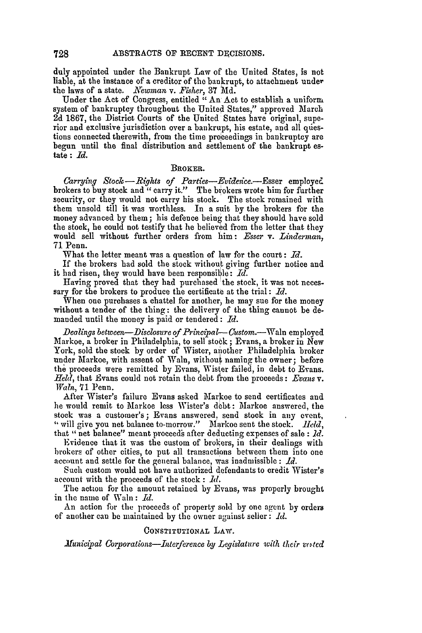duly appointed under the Bankrupt Law of the United States, is not liable, at the instance of a creditor of the bankrupt, to attachment under the laws of a state. *Newman v. Fisher,* 37 **Md.**

Under the Act of Congress, entitled "An Act to establish a uniform system of bankruptcy throughout the United States," approved March 2d 1867, the District Courts of the United States have original, superior and exclusive jurisdiction over a bankrupt, his estate, and all questions connected therewith, from the time proceedings in bankruptcy are begun until the final distribution and settlement of the bankrupt estate : *Id.*

#### BROKER.

Carrying Stock-Rights of Parties-Evidence.--Esser employed brokers to buy stock and "carry it." The brokers wrote him for further security, or they would not carry his stock. The stock remained with them unsold till it was worthless. In a suit by the brokers for the money advanced by them; his defence being that they should have sold the stock, he could not testify that he believed from the letter that they would sell without further orders from him: *Esser* v. Linderman, 71 Penn.

What the letter meant was a question of law for the court: *Id.*

If the brokers had sold the stock without giving further notice and it had risen, they would have been responsible: *Id.*

Having proved that they had purchased 'the stock, it was not necessary for the brokers to produce the certificate at the trial **:** *Id.*

When one purchases a chattel for another, he may sue for the money without a tender of the thing: the delivery of the thing cannot be demanded until the money is paid or tendered: *Id.*

*Dealings between-Disclosure of Principal- Custom.-Waln* employed Markoe, a broker in Philadelphia, to sell stock; Evans, a broker in New York, sold the stock by order of Wister, another Philadelphia broker under Markoe, with assent of Waln, without naming the owner; before **the** proceeds were remitted by Evans, Wister failed, in debt to Evans. *Held,* that Evans could not retain the debt from the proceeds : *Evans v. Waln,* **71** Penn.

After Wister's failure Evans asked Markoe to send certificates and he would remit to Markoe less Wister's debt: Markoe answered, the stock was a customer's; Evans answered, send stock in any event, "will give you net balance to-morrow." Markoe sent the stock. *Held*, that " net balance" meant proceeds after deducting expenses of sale : *Id.*

Evidence that it was the custom of brokers, in their dealings with brokers of other cities, to put all transactions between them into one account and settle for the general balance, was inadmissible **:** *Id.*

Such custom would not have authorized defendants to credit Wister's account with the proceeds of the stock : *Id,*

The action for the amount retained by Evans, was properly brought in the name of Wain **:** *Id.*

An action for the proceeds of property sold by one agent by orders of another can be maintained by the owner against seller: *Id.*

# CONSTITUTIONAL **LAW.**

*Municipal Corporations-Interference by Legislature with their vested*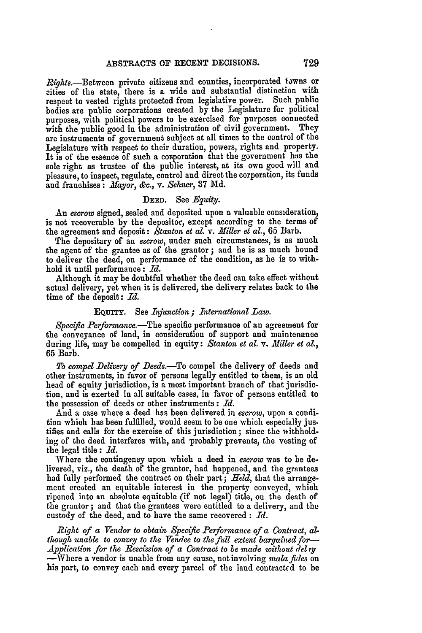Rights.-Between private citizens and counties, incorporated towns or cities of the state, there is a wide and substantial distinction with respect to vested rights protected from legislative power. Such public bodies are public corporations created **by** the Legislature for political purposes, with political powers to be exercised for purposes connected with the public good in the administration of civil government. They **are** instruments of government subject at all times to the control of the Legislature with respect to their duration, powers, rights and property. It is of the essence of such a corporation that the government has the sole right as trustee of the public interest, at its own good will and pleasure, to inspect, regulate, control and direct the corporation, its funds and franchises: *Mayor,* &c., v. *Sehner,* **37 Md.**

# **DEED.** See *Equity.*

**An** *escrow* signed, sealed and deposited upon a valuable consideration, is not recoverable **by** the depositor, except according to the terms of the agreement and deposit: Stanton et al. v. Miller et al., 65 Barb.

The depositary of an *escrow,* under such circumstances, is as much the agent of the grantee as of the grantor ; and he is as much bound to deliver the deed, on performance of the condition, as he is to withhold it until performance: *Id.*

Although it may be doubtful whether the deed can take effect without actual delivery, yet when it is delivered, the delivery relates back to the time of the deposit: *Id.*

## EQuITY. See *Injunction; International Law.*

*Specific* Performance.-The specific performance of an agreement for the conveyance of land, in consideration of support and maintenance during life, may be compelled in equity: *Stanton et* **al.** v. *.Miller et al.,* **65** Barb.

*T& compel Delivery of Deeds.-To* compel the delivery of deeds and other instruments, in favor of persons legally entitled to them, is an old head of equity jurisdiction, is a most important branch of that jurisdiction, and is exerted in all suitable cases, in favor of persons entitled to the possession of deeds or other instruments **:** *Id.*

And a case where a deed has been delivered in *escrow,* upon a condition which has been fulfilled, would seem to be one which especially justifies and calls for the exercise of this jurisdiction; since the withholding of the deed interferes with, and probably prevents, the vesting of the legal title: *Id.*

Where the contingency upon which a deed in *escrow* was to be delivered, viz., the death of the grantor, had happened, and the grantees had fully performed the contract on their part; *Held,* that the arrangement created an equitable interest in the property conveyed, which ripened into an absolute equitable (if not legal) title, on the death of the grantor ; and that the grantees were entitled to a delivery, and the custody of the deed, and to have the same recovered : *Id.*

*Right of a Vendor to obtain Specific Performance of a Contract, athough unable to convey to the Vendee to the full extent bargained for*— *Application for the Rescission of a Contract to be made without delzy*

-Where a vendor is unable from any cause, not involving *mala fides* on his part, to convey each and every parcel of the land contractcd to be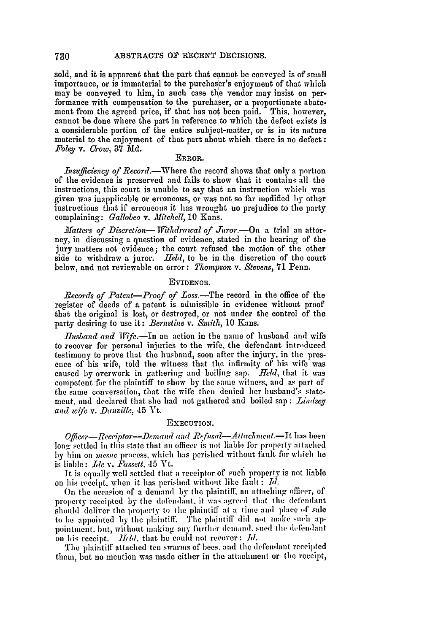sold, and it is apparent that the part that cannot be conveyed is of small importance, or is immaterial to the purchaser's enjoyment of that which may be conveyed to him, in such case the vendor may insist on performance with compensation to the purchaser, or a proportionate abatement from the agreed price, if that has not been paid. This, however, cannot be done where the part in reference to which the defect exists is a considerable portion of the entire subject-matter, or is in its nature material to the enjoyment of that part about which there is no defect: Foley *v. Crow,* 37 **Md.**

## **ERROR.**

*Insufficiency of Record.*—Where the record shows that only a portion of the evidence is preserved and fails to show that it contains all the instructions, this court is unable to say that an instruction which was given was inapplicable or erroneous, or was not so far modified by other instructions that if erroneous it has wrought no prejudice to the party complaining: Gallobeo *v. Mitchell,* 10 Kans.

*Matters of Discretion*— *Withdrawal of Juror.*—On a trial an attorney, in discussing a question of evidence, stated in the hearing of the jury matters not evidence; the court refused the motion of the other side to withdraw a juror. *Held*, to be in the discretion of the court below, and not reviewable on error: *Thompson v. Stevens,* 71 Penn.

# **EVIDENCE.**

*Records of Patent-Proof of Loss.-Tle* record in the office of the register of deeds of a patent is admissible in evidence without proof that the original is lost, or destroyed, or not under the control of the party desiring to use it: *Bernstine v. Smith,* **10** Kans.

*Husband and Wife*.—In an action in the name of husband and wife to recover for personal injuries to the wife, the defendant introduced testimony to prove that the husband, soon after the injury, in the presence of his wife, told the witness that the infirmity of his wife was caused by overwork in gathering and boiling sap. *Ield,* that it was competent for the plaintiff to show by the same witness, and as part of the same conversation, that the wife then denied her husband's state. ment. and declared that she had not gathered and boiled sap : *Lindsey and* wicfe *v. Danvillc,* 45 **Vt.**

### EXECUTION.

*Officer*—Receiptor—Demand and Refusal—Attachment.—It has been long settled in this state that an officer is not liable for property attached by him on mesne process, which has perished without fault for which he is liable: *Ide v. Fasselt.* 45 Yt.

It is equally well settled that a receiptor of such property is not liable on his receipt, when it has perished without like fault : *Id.* 

On the occasion of a demand **by** the plaintiff, an attaching offiver, of property receipted by the defendant, it was agreed that the defendant should deliver the property to the plaintiff at a time and place of sale to be appointed by the plaintiff. The plaintiff did not make such ap. pointment. but, without making any further demand. sued the defendant on his receipt. *IIdd*, that he could not recover: *Id.* 

The plaintiff attached ten swarnis of bees. and the delendant receipted them, but no mention was made either in the attachment or the receipt,

730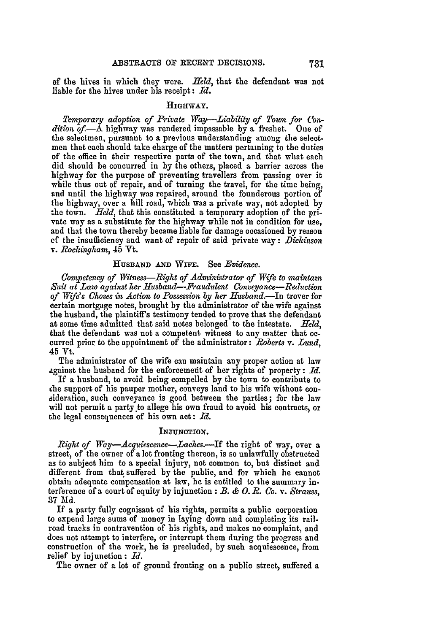**of** the hives in which they were. *Held,* that the defendant was not liable for the hives under his receipt: *Id.*

# HIGHWAY.

*Temporary adoption of Private Way-Liability of Town for Condition of.-A* highway was rendered impassable by a freshet. One of the selectmen, pursuant to a previous understanding among the selectmen that each should take charge of the matters pertaining to the duties of the office in their respective parts of the town, and that what each did should be concurred in by the others, placed a barrier across the highway for the purpose of preventing travellers from passing over it while thus out of repair, and of turning the travel, for the time being, and until the highway was repaired, around the founderous portion of the highway, over a hill road, which was a private way, not adopted by the town. *Held,* that this constituted a temporary adoption of the private way as a substitute for the highway while not in condition for use, and that the town thereby became liable for damage occasioned by reason *ef* the insufficiency and want of repair of said private way : *Dickinson* v. *Rockingham,* 45 Vt.

### HUSBAND AND WIFE. See *Evidence.*

*Competency of Witness-Right of Administrator of Wife to maintam Suit (it Law against her Husband-Fraudulent Conveyance-Reduction of Wife's Choses in Action to Possession by her Husband.-In* trover for certain mortgage notes, brought by the administrator of the wife against the husband, the plaintiff's testimony tended to prove that the defendant at some time admitted that said notes belonged to the intestate. *Held,* that the defendant was not a competent witness to any matter that oc- curred prior to the appointment of the administrator: *Roberts* v. *Lund,* 45 Vt.

The administrator of the wife can maintain any proper action at law against the husband for the enforcement of her rights of property: *Id.* 

If a husband, to avoid being compelled by the town to contribute to che support of his pauper mother, conveys land to his wife without consideration, such conveyance is good between the parties; for the law will not permit a party to allege his own fraud to avoid his contracts, or the legal consequences of his own act: *Id.*

## INJUNCTION.

*Right of Way-Acquiescence-Laehes.-If* the right of way, over a street, of the owner of a lot fronting thereon, is so unlawfully obstructed as to subject him to a special injury, not common to, but distinct and different from that suffered by the public, and for which he cannot obtain adequate compensation at law, he is entitled to the summary interference of a court of equity by injunction : *B. & 0. R. Co. v. Strauss,* 37 **Md.**

If a party fully cognisant of his rights, permits a public corporation to expend large sums of money in laying down and completing its railroad tracks in contravention of his rights, and makes no complaint, and does not attempt to interfere, or interrupt them during the progress and construction of the work, he is precluded, by such acquiescence, from relief by injunction : *Id.*

The owner of a lot of ground fronting on a public street, suffered a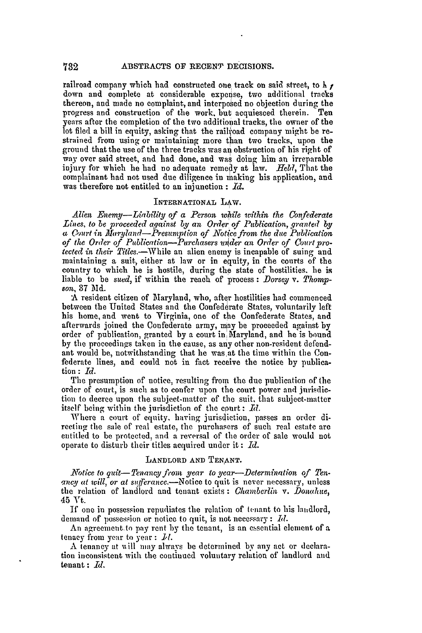railroad company which had constructed one track on said street, to h  $\prime$ down and complete at considerable expense, two additional tracks thereon, and made no complaint, and interposed no objection during the progress and construction of the work, but acquiesced therein. Ten years after the completion of the two additional tracks, the owner of the lot filed a bill in equity, asking that the railroad company might be restrained from using or maintaining more than two tracks, upon the ground that the use of the three tracks was an obstruction of his right of way over said street, and had done, and was doing him an irreparable injury for which he had no adequate remedy at law. *Held,* That the complainant had not used due diligence in making his application, and was therefore not entitled to an injunction :  $Id.$ 

## INTERNATIONAL LAW.

*Alien Enemy-Liablity of a Person, while ivithin the Confederate Lines, to be proceeded against by an Order of Publication, granted by a Court in Maryland-Presumption of Notice from the due Publication of the Order of Publication-Purchasers utder an Order of Covrt protected in their Titles.-While* an alien enemy is incapable of suing and maintaining a suit, either at law or in equity, in the courts of the country to which he is hostile, during the state of hostilities, he is liable to be *sued,* if within the reach of process : *Dorsey v. Thompson,* 37 Md.

**A** resident citizen of Maryland, who, after hostilities had commenced between the United States and the Confederate States, voluntarily left his home, and went to Virginia, one of the Confederate States, and afterwards joined the Confederate army, **nay** be proceeded against by order of publication, granted by a court in, Maryland, and he is bound by the proceedings taken in the cause, as any other non-resident defendant would be, notwithstanding that he was at the time within the Confederate lines, and could not in fact receive the notice by publication **:** *I.*

The presumption of notice, resulting from the due publication of the order of court, is such as to confer upon the court power and jurisdiction to decree upon the subject-matter of the suit, that subject-matter itself being within the jurisdiction of the court: *Rd.*

Where a court of equity, having jurisdiction, passes an order directing the sale of real estate, the purchasers of such real estate are entitled to be protected, and a reversal of the order of sale would not entitled to be protected, and a reversal of the order of sale would not operate to disturb their titles acquired under it :  $Id$ .

# LANDLORD AND TENANT.

*Notice to quit-Tenaneyfrom year to year-Determination of Ten.* ancy at will, or at sufferance.-Notice to quit is never necessary, unless the relation of landlord and tenant exists : *Chamberlin v. Donahue,* 45 Vt.

If one in possession repudiates the relation of tenant to his landlord, demand of possession or notice to quit, is not necessary : *Id.*

An agreement to pay rent by the tenant, is an essential element of a tenacy from year to year :  $\mathcal{L}l$ .

A tenancy at v ill may always be determined **bv** any act or declaration inconsistent with the continued voluntary relation of landlord and benant : *Id.*

732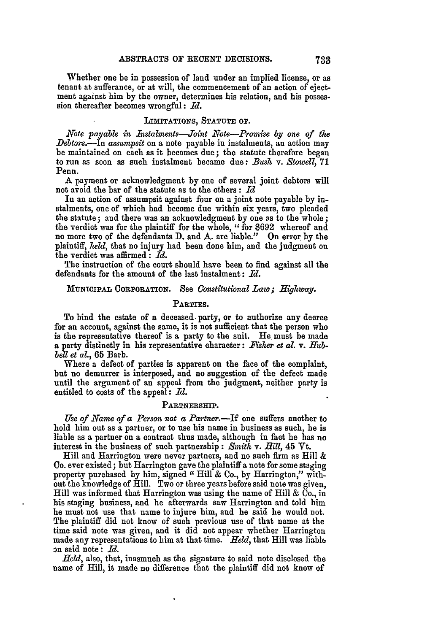Whether one be in possession of land under an implied license, or as tenant at sufferance, or at will, the commencement of an action of ejectment against him **by** the owner, determines his relation, and his possession thereafter becomes wrongful: *Id.*

#### **LIMITATIONS, STATUTE OF.**

*Note payable in Instalments---oint Note--Promise by one of the Debtors.-In assumpsit* on a note payable in instalments, an action may be maintained on each as it becomes due; the statute therefore began to run as soon as such instalment became due: *Bush* v. *Stowell,* 71 Penn.

**A** payment or acknowledgment **by** one of several joint debtors will not avoid the bar of the statute as to the others **:** *Id*

**In** an action of assumpsit against four on a joint note payable by instalments, one of which had become due within six years, two pleaded the statute; and there was an acknowledgment by one as to the whole; the verdict was for the plaintiff for the whole, "for \$692 whereof and no more two of the defendants D. and A. are liable." On error **by** the plaintiff, **held,** that no injury had been done him, and the judgment on the verdict was affirmed: *Id.*

The instruction of the court should have been to find against all the defendants for the amount of the last instalment: *Id.*

### **MUNIOIPAL** CORPORATION. See *Constitutional Law; Highway.*

## **PARTIES.**

To bind the estate of a deceased. party, or to authorize any decree for an account, against the same, it is not sufficient that the person who is the representative thereof is a party to the suit. He must be made a party distinctly in his representative character: *Fisher et al.* v. *Hubbell et al,* **65** Barb.

Where a defect of parties is apparent on the face of the complaint, but no demurrer is interposed, and no suggestion of the defect made until the argument of an appeal from the judgment, neither party is entitled **to** costs of the appeal: *Id.*

### **PARTNERSHIP.**

*Use of Name of a Person not a Partner.-If* one suffers another to hold him out as a partner, or to use his name in business as such, he is liable as a partner on a contract thus made, although in fact he has no interest in the business of such partnership: *Smith v. Hill,* 45 Vt.

Hill and Harrington were never partners, and no such firm as Hill & Co. ever existed; but Harrington gave the plaintiff **a** note for some staging property purchased by him, signed " Hill & Co., by Harrington," without the knowledge of Hill. Two or three years before said note was given, Hill was informed that Harrington was using the name of Hill  $\&$  Co., in his staging business, and he afterwards saw Harrington and told him he must not use that name to injure him, and he said he would not. The plaintiff did not know of such previous use of that name at the time said note was given, and it did not appear whether Harrington made any representations to him at that time. *Held,* that Hill was liable on said note: *Id.*

*Held,* also, that, inasmuch as the signature to said note disclosed the name of Hill, it made no difference that the plaintiff did not know of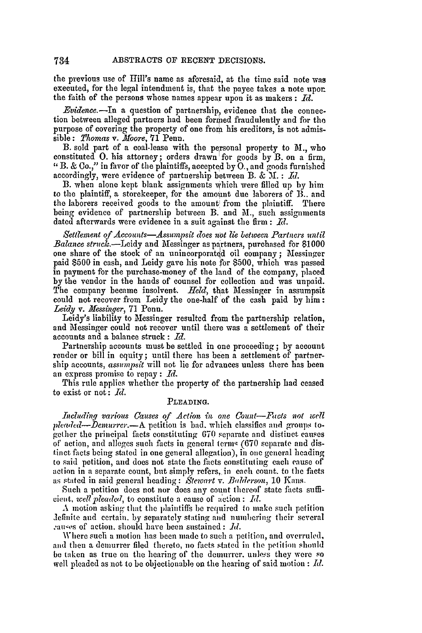the previous use of Hill's name as aforesaid, at the time said note was executed, for the legal intendment is, that the payee takes a note upon the faith of the persons whose names appear upon it as makers **:** *Id.*

*Evidence.*-In a question of partnership, evidence that the connection between alleged partners had been formed fraudulently and for the purpose of covering the property of one from his creditors, is not admissible: *Thomas v. Moore*, 71 Penn.

B. sold part of a coal-lease with the personal property to M., who constituted O. his attorney; orders drawn for goods by B. on a firm, "B. & Co.," in favor of the plaintiffs, accepted by **0.,** and goods furnished accordingly, were evidence of partnership between B. & **31. :** *1l.*

B. when alone kept blank assignments which were filled up by him to the plaintiff, a storekeeper, for the amount due laborers of **R..** and the laborers received goods to the amount from the plaintiff. There being evidence of partnership between B. and M., such assignments dated afterwards were evidence in a suit against the firm : *Id.*

*Settlement of Accounts-Assumpsit does not lie between Partners until Balance struck.-Leidy* and Messinger as partners, purchased for 81000 one share of the stock of an unincorporated oil company **;** i1essinger paid \$500 in cash, and Leidy gave his note for \$500, which was passed in payment for the purchase-money of the land of the company, placed by the vendor in the hands of counsel for collection and was unpaid. The company became insolvent. *Held,* that Messinger in assumpsit could not recover from Leidy the one-half of the cash paid by him: *Leidy* v. *Messinger,* **71** Penn.

Leidy's liability to Messinger resulted from the partnership relation, and Messinger could not recover until there was a settlement of their accounts and a balance struck **:** *d.*

Partnership accounts must be settled in one proceeding; by account render or bill in equity; until there has been a settlement of partnership accounts, *assumpsit* will not lie for advances unless there has been an express promise to repay **:** *Id.*

This rule applies whether the property of the partnership had ceased to exist or not: *d.*

# PLEADING.

*Including various Causes of Action in one Count-.Fats not well pleaded-Demnrrer.-A* petition is bad. which classifies and groups together the principal facts constituting **670** separate and distinct causes of action, and alleges such facts in general terms (670 separate and distinct facts being stated in one general allegation), in one general heading to said petition, and does not state the facts constituting each cause of action in a separate count, but simply refers, in each count, to the facts as stated in said general heading : *Stewart v. Bilderson,* **10** Kans.

Such a petition does not nor does any count thereof state facts suffi*cient, well pleaded, to constitute a cause of action: Id.* 

A motion asking that the plaintiffs **be** required to make such petition Jefinite and certain. by separately stating and numbering their several equives of action, should have been sustained : *Id.* 

Where such a motion has been made to such a petition, and overruled, and then a demurrer filed thereto, no facts stated in the petition should be taken as true on the hearing **of** the demurrer. unle:s they were so well pleaded as not to be objectionable on the hearing of said motion : *Id.*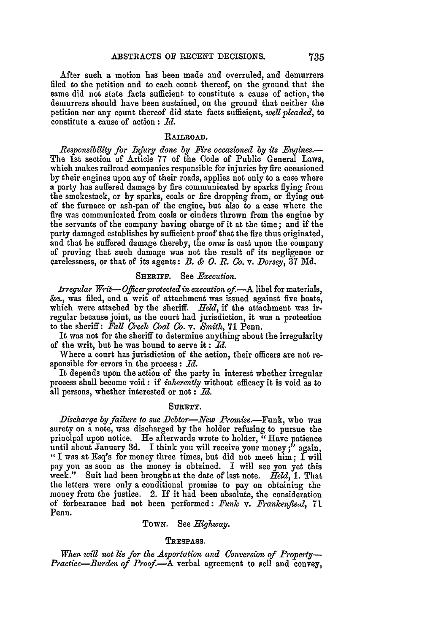After such a motion has been made and overruled, and demurrers filed to the petition and to each count thereof, on the ground that the same did not state facts sufficient to constitute a cause of action, the demurrers should have been sustained, on the ground that neither the petition nor any count thereof did state facts sufficient, *wellpleaded,* to constitute a cause of action **:** *Id.*

## RAILROAD.

*Responsibility for Injury done by Fire occasioned by its Engines.-* The 1st section of Article 77 of the Code of Public General Laws, which makes railroad companies responsible for injuries by fire occasioned by their engines upon any of their roads, applies not only to a case where a party has suffered damage by fire communicated by sparks flying from the smokestack, or by sparks, coals or fire dropping from, or flying out of the furnace or ash-pan of the engine, but also to a case where the fire was communicated from coals or cinders thrown from the engine by the servants of the company having charge of it at the time; and if the party damaged establishes by sufficient proof that the fire thus originated, and that he suffered damage thereby, the onus is cast upon the company of proving that such damage was not the result of its negligence or carelessness, or that of its agents:  $B.$   $\&$   $O.$   $R.$   $Co.$   $\nabla.$  *Dorsey*, 37 Md.

## SHERIFF. See *Execution.*

*Irregular Writ- Oficerprotected* in *execution of-.A* libel for materials, **&-.,** was filed, and a writ of attachment was issued against five boats, which were attached by the sheriff. *Held*, if the attachment was irregular because joint, as the court had jurisdiction, it was a protection to the sheriff: *Fall Creek Coal Co. v. Smith,* **71** Penn.

It was not for the sheriff to determine anything about the irregularity of the writ, but he was bound to serve it: **Id.**

Where a court has jurisdiction of the action, their officers are not responsible for errors in the process : *Id.*

It depends upon the action of the party in interest whether irregular process shall become void: if *inherently* without efficacy it is void as to all persons, whether interested or not : *Id.*

# SURETY.

*Discharge by failure to sue Debtor-New Promise.*-Funk, who was surety on a note, was discharged by the holder refusing to pursue the principal upon notice. He afterwards wrote to holder, "Have patience until about January 3d. I think you will receive your money;" again. "I was at Esq's for money three times, but did not meet him; I will **pay** you as soon as the money is obtained. I will see you yet this week." Suit had been brought at the date of last note. *Held,* 1. That the letters were only a conditional promise to pay on obtaining the money from the justice. 2. If it had been absolute, the consideration of forbearance had not been performed: *Funk* v. *Frankenfiod,* 71t Penn.

# TOWN. See *Highway.*

## TRESPASS.

*When. will not lie for the Asportation and Conversion of Property-Practice-Burden of Proof.-A* verbal agreement to sell and convey,